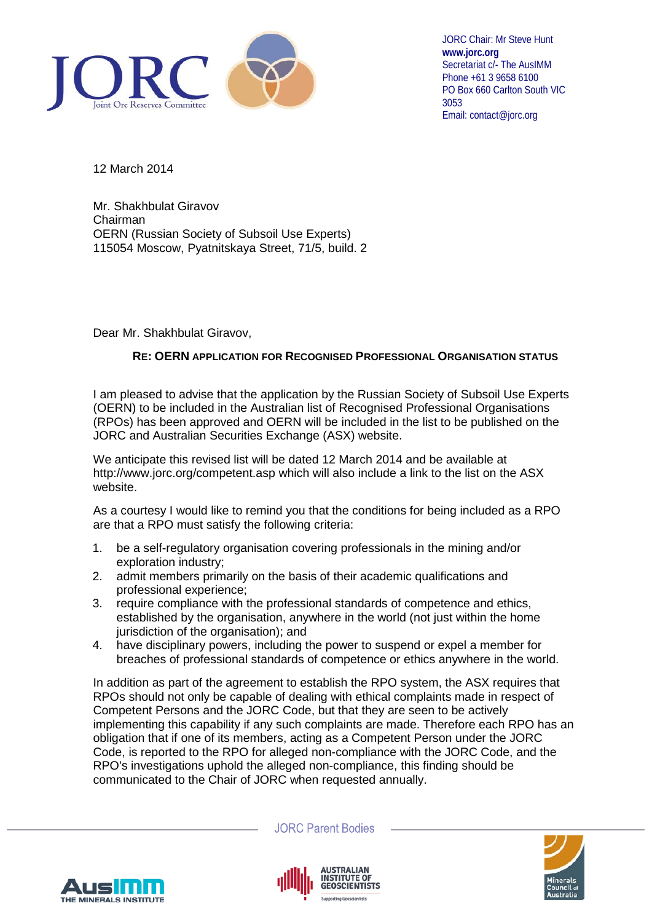

JORC Chair: Mr Steve Hunt **www.jorc.org** Secretariat c/- The AusIMM Phone +61 3 9658 6100 PO Box 660 Carlton South VIC 3053 Email: contact@jorc.org

12 March 2014

Mr. Shakhbulat Giravov Chairman OERN (Russian Society of Subsoil Use Experts) 115054 Moscow, Pyatnitskaya Street, 71/5, build. 2

Dear Mr. Shakhbulat Giravov,

## **RE: OERN APPLICATION FOR RECOGNISED PROFESSIONAL ORGANISATION STATUS**

I am pleased to advise that the application by the Russian Society of Subsoil Use Experts (OERN) to be included in the Australian list of Recognised Professional Organisations (RPOs) has been approved and OERN will be included in the list to be published on the JORC and Australian Securities Exchange (ASX) website.

We anticipate this revised list will be dated 12 March 2014 and be available at http://www.jorc.org/competent.asp which will also include a link to the list on the ASX website.

As a courtesy I would like to remind you that the conditions for being included as a RPO are that a RPO must satisfy the following criteria:

- 1. be a self-regulatory organisation covering professionals in the mining and/or exploration industry;
- 2. admit members primarily on the basis of their academic qualifications and professional experience;
- 3. require compliance with the professional standards of competence and ethics, established by the organisation, anywhere in the world (not just within the home jurisdiction of the organisation); and
- 4. have disciplinary powers, including the power to suspend or expel a member for breaches of professional standards of competence or ethics anywhere in the world.

In addition as part of the agreement to establish the RPO system, the ASX requires that RPOs should not only be capable of dealing with ethical complaints made in respect of Competent Persons and the JORC Code, but that they are seen to be actively implementing this capability if any such complaints are made. Therefore each RPO has an obligation that if one of its members, acting as a Competent Person under the JORC Code, is reported to the RPO for alleged non-compliance with the JORC Code, and the RPO's investigations uphold the alleged non-compliance, this finding should be communicated to the Chair of JORC when requested annually.



**JORC Parent Bodies**